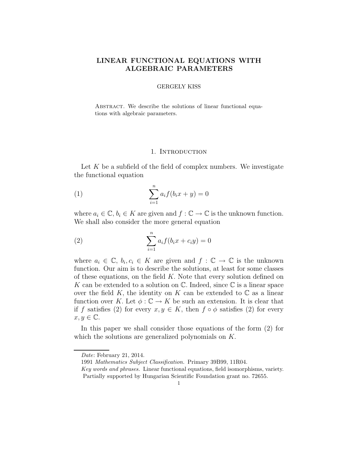# LINEAR FUNCTIONAL EQUATIONS WITH ALGEBRAIC PARAMETERS

## GERGELY KISS

ABSTRACT. We describe the solutions of linear functional equations with algebraic parameters.

### 1. INTRODUCTION

Let  $K$  be a subfield of the field of complex numbers. We investigate the functional equation

(1) 
$$
\sum_{i=1}^{n} a_i f(b_i x + y) = 0
$$

where  $a_i \in \mathbb{C}, b_i \in K$  are given and  $f : \mathbb{C} \to \mathbb{C}$  is the unknown function. We shall also consider the more general equation

(2) 
$$
\sum_{i=1}^{n} a_i f(b_i x + c_i y) = 0
$$

where  $a_i \in \mathbb{C}, b_i, c_i \in K$  are given and  $f : \mathbb{C} \to \mathbb{C}$  is the unknown function. Our aim is to describe the solutions, at least for some classes of these equations, on the field  $K$ . Note that every solution defined on K can be extended to a solution on  $\mathbb C$ . Indeed, since  $\mathbb C$  is a linear space over the field K, the identity on K can be extended to  $\mathbb C$  as a linear function over K. Let  $\phi : \mathbb{C} \to K$  be such an extension. It is clear that if f satisfies (2) for every  $x, y \in K$ , then  $f \circ \phi$  satisfies (2) for every  $x, y \in \mathbb{C}$ .

In this paper we shall consider those equations of the form (2) for which the solutions are generalized polynomials on K.

Date: February 21, 2014.

<sup>1991</sup> Mathematics Subject Classification. Primary 39B99, 11R04.

Key words and phrases. Linear functional equations, field isomorphisms, variety. Partially supported by Hungarian Scientific Foundation grant no. 72655.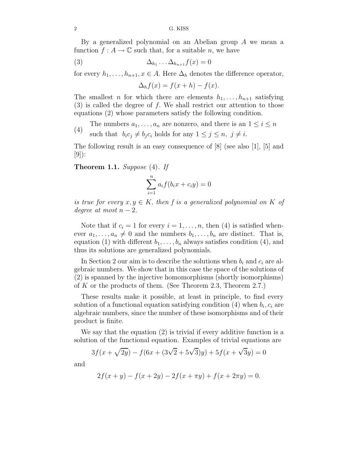By a generalized polynomial on an Abelian group A we mean a function  $f : A \to \mathbb{C}$  such that, for a suitable n, we have

$$
\Delta_{h_1} \dots \Delta_{h_{n+1}} f(x) = 0
$$

for every  $h_1, \ldots, h_{n+1}, x \in A$ . Here  $\Delta_h$  denotes the difference operator,

$$
\Delta_h f(x) = f(x+h) - f(x).
$$

The smallest *n* for which there are elements  $h_1, \ldots, h_{n+1}$  satisfying  $(3)$  is called the degree of f. We shall restrict our attention to those equations (2) whose parameters satisfy the following condition.

- The numbers  $a_1, \ldots, a_n$  are nonzero, and there is an  $1 \leq i \leq n$
- (4) such that  $b_i c_j \neq b_j c_i$  holds for any  $1 \leq j \leq n, j \neq i$ .

The following result is an easy consequence of [8] (see also [1], [5] and  $[9]$ :

Theorem 1.1. *Suppose* (4)*. If*

$$
\sum_{i=1}^{n} a_i f(b_i x + c_i y) = 0
$$

*is true for every*  $x, y \in K$ , then f is a generalized polynomial on K of *degree at most*  $n-2$ *.* 

Note that if  $c_i = 1$  for every  $i = 1, \ldots, n$ , then (4) is satisfied whenever  $a_1, \ldots, a_n \neq 0$  and the numbers  $b_1, \ldots, b_n$  are distinct. That is, equation (1) with different  $b_1, \ldots, b_n$  always satisfies condition (4), and thus its solutions are generalized polynomials.

In Section 2 our aim is to describe the solutions when  $b_i$  and  $c_i$  are algebraic numbers. We show that in this case the space of the solutions of (2) is spanned by the injective homomorphisms (shortly isomorphisms) of K or the products of them. (See Theorem 2.3, Theorem 2.7.)

These results make it possible, at least in principle, to find every solution of a functional equation satisfying condition  $(4)$  when  $b_i, c_i$  are algebraic numbers, since the number of these isomorphisms and of their product is finite.

We say that the equation (2) is trivial if every additive function is a solution of the functional equation. Examples of trivial equations are

$$
3f(x + \sqrt{2y}) - f(6x + (3\sqrt{2} + 5\sqrt{3})y) + 5f(x + \sqrt{3}y) = 0
$$

and

$$
2f(x + y) - f(x + 2y) - 2f(x + \pi y) + f(x + 2\pi y) = 0.
$$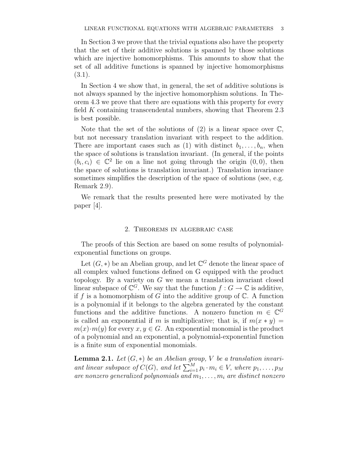In Section 3 we prove that the trivial equations also have the property that the set of their additive solutions is spanned by those solutions which are injective homomorphisms. This amounts to show that the set of all additive functions is spanned by injective homomorphisms (3.1).

In Section 4 we show that, in general, the set of additive solutions is not always spanned by the injective homomorphism solutions. In Theorem 4.3 we prove that there are equations with this property for every field K containing transcendental numbers, showing that Theorem 2.3 is best possible.

Note that the set of the solutions of  $(2)$  is a linear space over  $\mathbb{C}$ , but not necessary translation invariant with respect to the addition. There are important cases such as (1) with distinct  $b_1, \ldots, b_n$ , when the space of solutions is translation invariant. (In general, if the points  $(b_i, c_i) \in \mathbb{C}^2$  lie on a line not going through the origin  $(0, 0)$ , then the space of solutions is translation invariant.) Translation invariance sometimes simplifies the description of the space of solutions (see, e.g. Remark 2.9).

We remark that the results presented here were motivated by the paper [4].

## 2. Theorems in algebraic case

The proofs of this Section are based on some results of polynomialexponential functions on groups.

Let  $(G, *)$  be an Abelian group, and let  $\mathbb{C}^G$  denote the linear space of all complex valued functions defined on G equipped with the product topology. By a variety on G we mean a translation invariant closed linear subspace of  $\mathbb{C}^G$ . We say that the function  $f : G \to \mathbb{C}$  is additive, if f is a homomorphism of G into the additive group of  $\mathbb{C}$ . A function is a polynomial if it belongs to the algebra generated by the constant functions and the additive functions. A nonzero function  $m \in \mathbb{C}^G$ is called an exponential if m is multiplicative; that is, if  $m(x * y) =$  $m(x) \cdot m(y)$  for every  $x, y \in G$ . An exponential monomial is the product of a polynomial and an exponential, a polynomial-exponential function is a finite sum of exponential monomials.

**Lemma 2.1.** *Let*  $(G, *)$  *be an Abelian group, V be a translation invariant linear subspace of*  $C(G)$ , *and let*  $\sum_{i=1}^{M} p_i \cdot m_i \in V$ , *where*  $p_1, \ldots, p_M$ *are nonzero generalized polynomials and*  $m_1, \ldots, m_i$  *are distinct nonzero*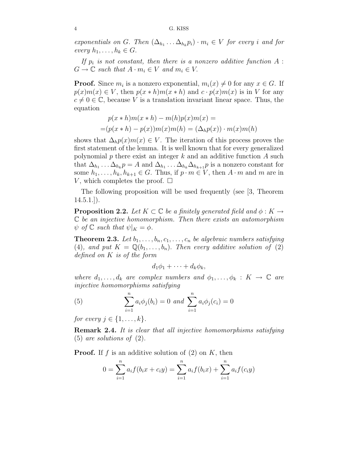*exponentials on G. Then*  $(\Delta_{h_1} \ldots \Delta_{h_k} p_i) \cdot m_i \in V$  *for every i and for every*  $h_1, \ldots, h_k \in G$ .

If  $p_i$  is not constant, then there is a nonzero additive function  $A$  :  $G \to \mathbb{C}$  *such that*  $A \cdot m_i \in V$  *and*  $m_i \in V$ .

**Proof.** Since  $m_i$  is a nonzero exponential,  $m_i(x) \neq 0$  for any  $x \in G$ . If  $p(x)m(x) \in V$ , then  $p(x * h)m(x * h)$  and  $c \cdot p(x)m(x)$  is in V for any  $c \neq 0 \in \mathbb{C}$ , because V is a translation invariant linear space. Thus, the equation

$$
p(x * h)m(x * h) - m(h)p(x)m(x) =
$$
  
=
$$
(p(x * h) - p(x))m(x)m(h) = (\Delta_h p(x)) \cdot m(x)m(h)
$$

shows that  $\Delta_h p(x)m(x) \in V$ . The iteration of this process proves the first statement of the lemma. It is well known that for every generalized polynomial  $p$  there exist an integer  $k$  and an additive function  $A$  such that  $\Delta_{h_1} \dots \Delta_{h_k} p = A$  and  $\Delta_{h_1} \dots \Delta_{h_k} \Delta_{h_{k+1}} p$  is a nonzero constant for some  $h_1, \ldots, h_k, h_{k+1} \in G$ . Thus, if  $p \cdot m \in V$ , then  $A \cdot m$  and  $m$  are in V, which completes the proof.  $\square$ 

The following proposition will be used frequently (see [3, Theorem  $14.5.1.$ ]).

**Proposition 2.2.** Let  $K \subset \mathbb{C}$  be a finitely generated field and  $\phi : K \to$ C *be an injective homomorphism. Then there exists an automorphism*  $\psi$  *of*  $\mathbb{C}$  *such that*  $\psi|_K = \phi$ *.* 

**Theorem 2.3.** Let  $b_1, \ldots, b_n, c_1, \ldots, c_n$  be algebraic numbers satisfying (4), and put  $K = \mathbb{Q}(b_1, \ldots, b_n)$ . Then every additive solution of (2) *defined on* K *is of the form*

$$
d_1\phi_1+\cdots+d_k\phi_k,
$$

*where*  $d_1, \ldots, d_k$  *are complex numbers and*  $\phi_1, \ldots, \phi_k : K \to \mathbb{C}$  *are injective homomorphisms satisfying*

(5) 
$$
\sum_{i=1}^{n} a_i \phi_j(b_i) = 0 \text{ and } \sum_{i=1}^{n} a_i \phi_j(c_i) = 0
$$

*for every*  $j \in \{1, ..., k\}$ .

Remark 2.4. *It is clear that all injective homomorphisms satisfying* (5) *are solutions of* (2)*.*

**Proof.** If f is an additive solution of  $(2)$  on K, then

$$
0 = \sum_{i=1}^{n} a_i f(b_i x + c_i y) = \sum_{i=1}^{n} a_i f(b_i x) + \sum_{i=1}^{n} a_i f(c_i y)
$$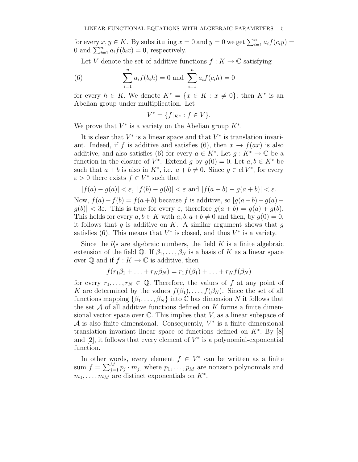for every  $x, y \in K$ . By substituting  $x = 0$  and  $y = 0$  we get  $\sum_{i=1}^{n} a_i f(c_i y) =$ 0 and  $\sum_{i=1}^{n} a_i f(b_i x) = 0$ , respectively.

Let V denote the set of additive functions  $f: K \to \mathbb{C}$  satisfying

(6) 
$$
\sum_{i=1}^{n} a_i f(b_i h) = 0 \text{ and } \sum_{i=1}^{n} a_i f(c_i h) = 0
$$

for every  $h \in K$ . We denote  $K^* = \{x \in K : x \neq 0\}$ ; then  $K^*$  is an Abelian group under multiplication. Let

$$
V^* = \{ f|_{K^*} : f \in V \}.
$$

We prove that  $V^*$  is a variety on the Abelian group  $K^*$ .

It is clear that  $V^*$  is a linear space and that  $V^*$  is translation invariant. Indeed, if f is additive and satisfies (6), then  $x \to f(ax)$  is also additive, and also satisfies (6) for every  $a \in K^*$ . Let  $g: K^* \to \mathbb{C}$  be a function in the closure of  $V^*$ . Extend g by  $g(0) = 0$ . Let  $a, b \in K^*$  be such that  $a + b$  is also in  $K^*$ , i.e.  $a + b \neq 0$ . Since  $g \in \text{cl } V^*$ , for every  $\varepsilon > 0$  there exists  $f \in V^*$  such that

$$
|f(a)-g(a)|<\varepsilon,\ |f(b)-g(b)|<\varepsilon\text{ and }|f(a+b)-g(a+b)|<\varepsilon.
$$

Now,  $f(a) + f(b) = f(a+b)$  because f is additive, so  $|g(a+b) - g(a) |g(b)| < 3\varepsilon$ . This is true for every  $\varepsilon$ , therefore  $g(a+b) = g(a) + g(b)$ . This holds for every  $a, b \in K$  with  $a, b, a+b \neq 0$  and then, by  $g(0) = 0$ , it follows that q is additive on K. A similar argument shows that  $q$ satisfies (6). This means that  $V^*$  is closed, and thus  $V^*$  is a variety.

Since the  $b_i'$  $\zeta_i$ s are algebraic numbers, the field K is a finite algebraic extension of the field Q. If  $\beta_1, \ldots, \beta_N$  is a basis of K as a linear space over  $\mathbb Q$  and if  $f : K \to \mathbb C$  is additive, then

$$
f(r_1\beta_1 + \ldots + r_N\beta_N) = r_1f(\beta_1) + \ldots + r_Nf(\beta_N)
$$

for every  $r_1, \ldots, r_N \in \mathbb{Q}$ . Therefore, the values of f at any point of K are determined by the values  $f(\beta_1), \ldots, f(\beta_N)$ . Since the set of all functions mapping  $\{\beta_1, \ldots, \beta_N\}$  into C has dimension N it follows that the set  $A$  of all additive functions defined on  $K$  forms a finite dimensional vector space over  $\mathbb C$ . This implies that V, as a linear subspace of  $\mathcal A$  is also finite dimensional. Consequently,  $V^*$  is a finite dimensional translation invariant linear space of functions defined on  $K^*$ . By [8] and  $[2]$ , it follows that every element of  $V^*$  is a polynomial-exponential function.

In other words, every element  $f \in V^*$  can be written as a finite sum  $f = \sum_{j=1}^{M} p_j \cdot m_j$ , where  $p_1, \ldots, p_M$  are nonzero polynomials and  $m_1, \ldots, m_M$  are distinct exponentials on  $K^*$ .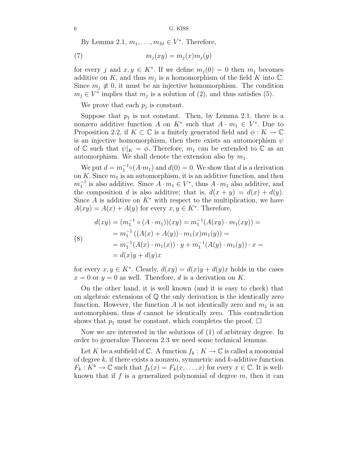By Lemma 2.1,  $m_1, \ldots, m_M \in V^*$ . Therefore,

$$
(7) \t m_j(xy) = m_j(x)m_j(y)
$$

for every j and  $x, y \in K^*$ . If we define  $m_j(0) = 0$  then  $m_j$  becomes additive on K, and thus  $m_j$  is a homomorphism of the field K into  $\mathbb{C}$ . Since  $m_j \neq 0$ , it must be an injective homomorphism. The condition  $m_j \in V^*$  implies that  $m_j$  is a solution of (2), and thus satisfies (5).

We prove that each  $p_j$  is constant.

Suppose that  $p_1$  is not constant. Then, by Lemma 2.1, there is a nonzero additive function A on  $K^*$  such that  $A \cdot m_1 \in V^*$ . Due to Proposition 2.2, if  $K \subset \mathbb{C}$  is a finitely generated field and  $\phi: K \to \mathbb{C}$ is an injective homomorphism, then there exists an automorphism  $\psi$ of C such that  $\psi|_K = \phi$ . Therefore,  $m_1$  can be extended to C as an automorphism. We shall denote the extension also by  $m_1$ .

We put  $d = m_1^{-1} \circ (A \cdot m_1)$  and  $d(0) = 0$ . We show that d is a derivation on  $K$ . Since  $m_1$  is an automorphism, it is an additive function, and then  $m_1^{-1}$  is also additive. Since  $A \cdot m_1 \in V^*$ , thus  $A \cdot m_1$  also additive, and the composition d is also additive; that is,  $d(x + y) = d(x) + d(y)$ . Since A is additive on  $K^*$  with respect to the multiplication, we have  $A(xy) = A(x) + A(y)$  for every  $x, y \in K^*$ . Therefore,

(8)  
\n
$$
d(xy) = (m_1^{-1} \circ (A \cdot m_1))(xy) = m_1^{-1}(A(xy) \cdot m_1(xy)) =
$$
\n
$$
= m_1^{-1} ((A(x) + A(y)) \cdot m_1(x)m_1(y)) =
$$
\n
$$
= m_1^{-1}(A(x) \cdot m_1(x)) \cdot y + m_1^{-1}(A(y) \cdot m_1(y)) \cdot x =
$$
\n
$$
= d(x)y + d(y)x
$$

for every  $x, y \in K^*$ . Clearly,  $d(xy) = d(x)y + d(y)x$  holds in the cases  $x = 0$  or  $y = 0$  as well. Therefore, d is a derivation on K.

On the other hand, it is well known (and it is easy to check) that on algebraic extensions of Q the only derivation is the identically zero function. However, the function A is not identically zero and  $m_1$  is an automorphism, thus  $d$  cannot be identically zero. This contradiction shows that  $p_1$  must be constant, which completes the proof.  $\Box$ 

Now we are interested in the solutions of (1) of arbitrary degree. In order to generalize Theorem 2.3 we need some technical lemmas.

Let K be a subfield of C. A function  $f_k: K \to \mathbb{C}$  is called a monomial of degree  $k$ , if there exists a nonzero, symmetric and  $k$ -additive function  $F_k: K^k \to \mathbb{C}$  such that  $f_k(x) = F_k(x, \ldots, x)$  for every  $x \in \mathbb{C}$ . It is wellknown that if f is a generalized polynomial of degree  $m$ , then it can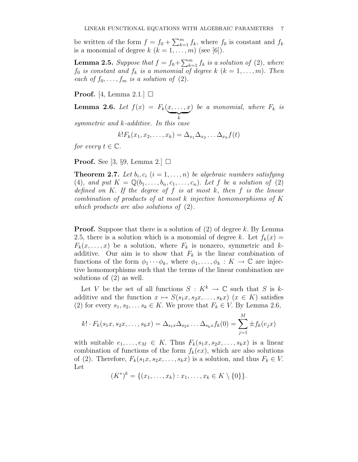be written of the form  $f = f_0 + \sum_{k=1}^m f_k$ , where  $f_0$  is constant and  $f_k$ is a monomial of degree  $k$   $(k = 1, \ldots, m)$  (see [6]).

**Lemma 2.5.** Suppose that  $f = f_0 + \sum_{k=1}^m f_k$  is a solution of (2), where  $f_0$  *is constant and*  $f_k$  *is a monomial of degree*  $k$  ( $k = 1, \ldots, m$ ). Then *each of*  $f_0, \ldots, f_m$  *is a solution of* (2).

**Proof.** [4, Lemma 2.1.]  $\Box$ 

**Lemma 2.6.** *Let*  $f(x) = F_k(x, \ldots, x)$  $\overbrace{k}$  $)$  *be a monomial, where*  $F_k$  *is* 

*symmetric and* k*-additive. In this case*

$$
k!F_k(x_1,x_2,\ldots,x_k)=\Delta_{x_1}\Delta_{x_2}\ldots\Delta_{x_k}f(t)
$$

*for every*  $t \in \mathbb{C}$ *.* 

**Proof.** See [3, §9, Lemma 2.]  $\Box$ 

**Theorem 2.7.** Let  $b_i, c_i$   $(i = 1, \ldots, n)$  be algebraic numbers satisfying (4), and put  $K = \mathbb{Q}(b_1, \ldots, b_n, c_1, \ldots, c_n)$ . Let f be a solution of (2) *defined on* K. *If the degree of* f *is at most* k, *then* f *is the linear combination of products of at most* k *injective homomorphisms of* K *which products are also solutions of* (2)*.*

**Proof.** Suppose that there is a solution of  $(2)$  of degree k. By Lemma 2.5, there is a solution which is a monomial of degree k. Let  $f_k(x) =$  $F_k(x, \ldots, x)$  be a solution, where  $F_k$  is nonzero, symmetric and kadditive. Our aim is to show that  $F_k$  is the linear combination of functions of the form  $\phi_1 \cdots \phi_k$ , where  $\phi_1, \ldots, \phi_k : K \to \mathbb{C}$  are injective homomorphisms such that the terms of the linear combination are solutions of (2) as well.

Let V be the set of all functions  $S: K^k \to \mathbb{C}$  such that S is kadditive and the function  $x \mapsto S(s_1x, s_2x, \ldots, s_kx)$   $(x \in K)$  satisfies (2) for every  $s_1, s_2, \ldots s_k \in K$ . We prove that  $F_k \in V$ . By Lemma 2.6,

$$
k! \cdot F_k(s_1x, s_2x, \dots, s_kx) = \Delta_{s_1x} \Delta_{s_2x} \dots \Delta_{s_kx} f_k(0) = \sum_{j=1}^M \pm f_k(e_jx)
$$

with suitable  $e_1, \ldots, e_M \in K$ . Thus  $F_k(s_1x, s_2x, \ldots, s_kx)$  is a linear combination of functions of the form  $f_k(ex)$ , which are also solutions of (2). Therefore,  $F_k(s_1x, s_2x, \ldots, s_kx)$  is a solution, and thus  $F_k \in V$ . Let

 $(K^*)^k = \{(x_1, \ldots, x_k) : x_1, \ldots, x_k \in K \setminus \{0\}\}.$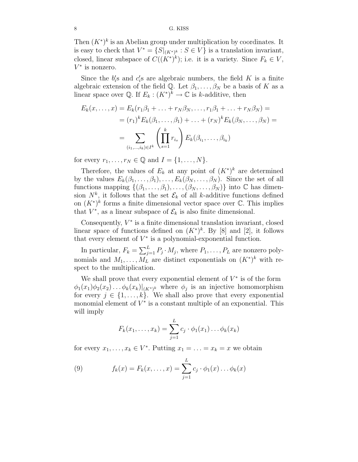Then  $(K^*)^k$  is an Abelian group under multiplication by coordinates. It is easy to check that  $V^* = \{S|_{(K^*)^k} : S \in V\}$  is a translation invariant, closed, linear subspace of  $C((K^*)^k)$ ; i.e. it is a variety. Since  $F_k \in V$ ,  $V^*$  is nonzero.

Since the  $b_i'$  $\ell_i$ 's and  $c_i$  $\mathcal{S}'_i$ s are algebraic numbers, the field K is a finite algebraic extension of the field Q. Let  $\beta_1, \ldots, \beta_N$  be a basis of K as a linear space over  $\mathbb{Q}$ . If  $E_k : (K^*)^k \to \mathbb{C}$  is k-additive, then

$$
E_k(x, \dots, x) = E_k(r_1\beta_1 + \dots + r_N\beta_N, \dots, r_1\beta_1 + \dots + r_N\beta_N) =
$$
  

$$
= (r_1)^k E_k(\beta_1, \dots, \beta_1) + \dots + (r_N)^k E_k(\beta_N, \dots, \beta_N) =
$$
  

$$
= \sum_{(i_1, \dots, i_k) \in I^k} \left(\prod_{s=1}^k r_{i_s}\right) E_k(\beta_{i_1}, \dots, \beta_{i_k})
$$

for every  $r_1, \ldots, r_N \in \mathbb{Q}$  and  $I = \{1, \ldots, N\}.$ 

Therefore, the values of  $E_k$  at any point of  $(K^*)^k$  are determined by the values  $E_k(\beta_1,\ldots,\beta_1),\ldots,E_k(\beta_N,\ldots,\beta_N)$ . Since the set of all functions mapping  $\{(\beta_1,\ldots,\beta_1),\ldots,(\beta_N,\ldots,\beta_N)\}\$ into  $\mathbb C$  has dimension  $N^k$ , it follows that the set  $\mathcal{E}_k$  of all k-additive functions defined on  $(K^*)^k$  forms a finite dimensional vector space over  $\mathbb C$ . This implies that  $V^*$ , as a linear subspace of  $\mathcal{E}_k$  is also finite dimensional.

Consequently,  $V^*$  is a finite dimensional translation invariant, closed linear space of functions defined on  $(K^*)^k$ . By [8] and [2], it follows that every element of  $V^*$  is a polynomial-exponential function.

In particular,  $F_k = \sum_{j=1}^L P_j \cdot M_j$ , where  $P_1, \ldots, P_L$  are nonzero polynomials and  $M_1, \ldots, M_L$  are distinct exponentials on  $(K^*)^k$  with respect to the multiplication.

We shall prove that every exponential element of  $V^*$  is of the form  $\phi_1(x_1)\phi_2(x_2)\ldots\phi_k(x_k)|_{(K^*)^k}$  where  $\phi_j$  is an injective homomorphism for every  $j \in \{1, \ldots, k\}$ . We shall also prove that every exponential monomial element of  $V^*$  is a constant multiple of an exponential. This will imply

$$
F_k(x_1,\ldots,x_k)=\sum_{j=1}^L c_j\cdot \phi_1(x_1)\ldots\phi_k(x_k)
$$

for every  $x_1, \ldots, x_k \in V^*$ . Putting  $x_1 = \ldots = x_k = x$  we obtain

(9) 
$$
f_k(x) = F_k(x, ..., x) = \sum_{j=1}^{L} c_j \cdot \phi_1(x) ... \phi_k(x)
$$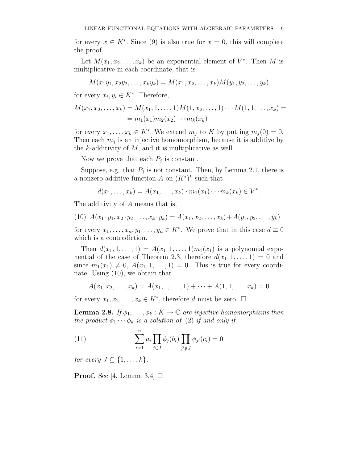for every  $x \in K^*$ . Since (9) is also true for  $x = 0$ , this will complete the proof.

Let  $M(x_1, x_2, \ldots, x_k)$  be an exponential element of  $V^*$ . Then M is multiplicative in each coordinate, that is

$$
M(x_1y_1, x_2y_2, \ldots, x_ky_k) = M(x_1, x_2, \ldots, x_k)M(y_1, y_2, \ldots, y_k)
$$

for every  $x_i, y_i \in K^*$ . Therefore,

$$
M(x_1, x_2,..., x_k) = M(x_1, 1,..., 1)M(1, x_2,..., 1) \cdots M(1, 1,..., x_k) =
$$
  
=  $m_1(x_1)m_2(x_2) \cdots m_k(x_k)$ 

for every  $x_1, \ldots, x_k \in K^*$ . We extend  $m_j$  to K by putting  $m_j(0) = 0$ . Then each  $m_j$  is an injective homomorphism, because it is additive by the  $k$ -additivity of  $M$ , and it is multiplicative as well.

Now we prove that each  $P_j$  is constant.

Suppose, e.g. that  $P_1$  is not constant. Then, by Lemma 2.1, there is a nonzero additive function A on  $(K^*)^k$  such that

$$
d(x_1,\ldots,x_k)=A(x_1,\ldots,x_k)\cdot m_1(x_1)\cdots m_k(x_k)\in V^*.
$$

The additivity of A means that is,

(10)  $A(x_1 \cdot y_1, x_2 \cdot y_2, \ldots, x_k \cdot y_k) = A(x_1, x_2, \ldots, x_k) + A(y_1, y_2, \ldots, y_k)$ 

for every  $x_1, \ldots, x_n, y_1, \ldots, y_n \in K^*$ . We prove that in this case  $d \equiv 0$ which is a contradiction.

Then  $d(x_1, 1, \ldots, 1) = A(x_1, 1, \ldots, 1) m_1(x_1)$  is a polynomial exponential of the case of Theorem 2.3, therefore  $d(x_1, 1, \ldots, 1) = 0$  and since  $m_1(x_1) \neq 0$ ,  $A(x_1, 1, \ldots, 1) = 0$ . This is true for every coordinate. Using (10), we obtain that

$$
A(x_1, x_2, \ldots, x_k) = A(x_1, 1, \ldots, 1) + \cdots + A(1, 1, \ldots, x_k) = 0
$$

for every  $x_1, x_2, \ldots, x_k \in K^*$ , therefore d must be zero.  $\Box$ 

**Lemma 2.8.** *If*  $\phi_1, \ldots, \phi_k : K \to \mathbb{C}$  *are injective homomorphisms then the product*  $\phi_1 \cdots \phi_k$  *is a solution of* (2) *if and only if* 

(11) 
$$
\sum_{i=1}^{n} a_i \prod_{j \in J} \phi_j(b_i) \prod_{j' \notin J} \phi_{j'}(c_i) = 0
$$

*for every*  $J \subseteq \{1, \ldots, k\}$ .

**Proof.** See [4, Lemma 3.4]  $\Box$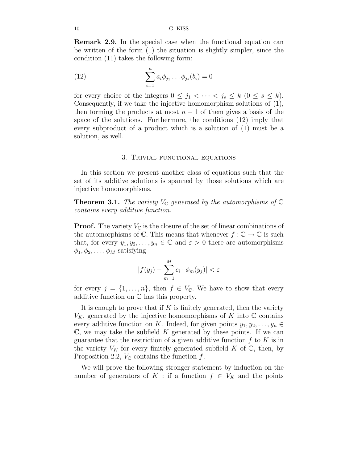Remark 2.9. In the special case when the functional equation can be written of the form (1) the situation is slightly simpler, since the condition (11) takes the following form:

(12) 
$$
\sum_{i=1}^{n} a_i \phi_{j_1} \dots \phi_{j_s} (b_i) = 0
$$

for every choice of the integers  $0 \leq j_1 < \cdots < j_s \leq k$   $(0 \leq s \leq k)$ . Consequently, if we take the injective homomorphism solutions of (1), then forming the products at most  $n-1$  of them gives a basis of the space of the solutions. Furthermore, the conditions (12) imply that every subproduct of a product which is a solution of (1) must be a solution, as well.

### 3. Trivial functional equations

In this section we present another class of equations such that the set of its additive solutions is spanned by those solutions which are injective homomorphisms.

**Theorem 3.1.** *The variety*  $V_{\mathbb{C}}$  generated by the automorphisms of  $\mathbb{C}$ *contains every additive function.*

**Proof.** The variety  $V_{\mathbb{C}}$  is the closure of the set of linear combinations of the automorphisms of  $\mathbb C$ . This means that whenever  $f : \mathbb C \to \mathbb C$  is such that, for every  $y_1, y_2, \ldots, y_n \in \mathbb{C}$  and  $\varepsilon > 0$  there are automorphisms  $\phi_1, \phi_2, \ldots, \phi_M$  satisfying

$$
|f(y_j) - \sum_{m=1}^{M} c_i \cdot \phi_m(y_j)| < \varepsilon
$$

for every  $j = \{1, \ldots, n\}$ , then  $f \in V_{\mathbb{C}}$ . We have to show that every additive function on C has this property.

It is enough to prove that if  $K$  is finitely generated, then the variety  $V_K$ , generated by the injective homomorphisms of K into  $\mathbb C$  contains every additive function on K. Indeed, for given points  $y_1, y_2, \ldots, y_n \in$  $\mathbb{C}$ , we may take the subfield K generated by these points. If we can guarantee that the restriction of a given additive function  $f$  to  $K$  is in the variety  $V_K$  for every finitely generated subfield K of  $\mathbb C$ , then, by Proposition 2.2,  $V_{\mathbb{C}}$  contains the function f.

We will prove the following stronger statement by induction on the number of generators of K : if a function  $f \in V_K$  and the points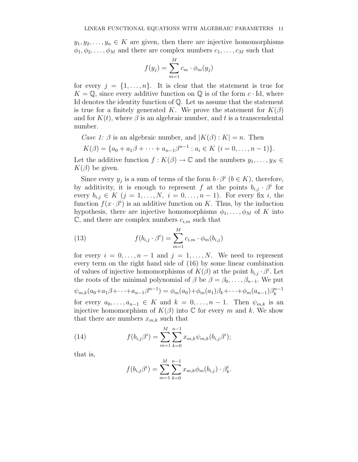$y_1, y_2, \ldots, y_n \in K$  are given, then there are injective homomorphisms  $\phi_1, \phi_2, \ldots, \phi_M$  and there are complex numbers  $c_1, \ldots, c_M$  such that

$$
f(y_j) = \sum_{m=1}^{M} c_m \cdot \phi_m(y_j)
$$

for every  $j = \{1, \ldots, n\}$ . It is clear that the statement is true for  $K = \mathbb{Q}$ , since every additive function on  $\mathbb{Q}$  is of the form  $c \cdot \text{Id}$ , where Id denotes the identity function of Q. Let us assume that the statement is true for a finitely generated K. We prove the statement for  $K(\beta)$ and for  $K(t)$ , where  $\beta$  is an algebraic number, and t is a transcendental number.

*Case 1:*  $\beta$  is an algebraic number, and  $|K(\beta): K| = n$ . Then

$$
K(\beta) = \{a_0 + a_1\beta + \dots + a_{n-1}\beta^{n-1} : a_i \in K \ (i = 0, \dots, n-1)\}.
$$

Let the additive function  $f : K(\beta) \to \mathbb{C}$  and the numbers  $y_1, \ldots, y_N \in$  $K(\beta)$  be given.

Since every  $y_j$  is a sum of terms of the form  $b \cdot \beta^i$   $(b \in K)$ , therefore, by additivity, it is enough to represent f at the points  $b_{i,j} \cdot \beta^i$  for every  $b_{i,j} \in K$   $(j = 1, \ldots, N, i = 0, \ldots, n-1)$ . For every fix i, the function  $f(x \cdot \beta^i)$  is an additive function on K. Thus, by the induction hypothesis, there are injective homomorphisms  $\phi_1, \ldots, \phi_M$  of K into  $\mathbb{C}$ , and there are complex numbers  $c_{i,m}$  such that

(13) 
$$
f(b_{i,j} \cdot \beta^i) = \sum_{m=1}^{M} c_{i,m} \cdot \phi_m(b_{i,j})
$$

for every  $i = 0, \ldots, n-1$  and  $j = 1, \ldots, N$ . We need to represent every term on the right hand side of (16) by some linear combination of values of injective homomorphisms of  $K(\beta)$  at the point  $b_{i,j} \cdot \beta^i$ . Let the roots of the minimal polynomial of  $\beta$  be  $\beta = \beta_0, \ldots, \beta_{n-1}$ . We put  $\psi_{m,k}(a_0+a_1\beta+\cdots+a_{n-1}\beta^{n-1}) = \phi_m(a_0)+\phi_m(a_1)\beta_k+\cdots+\phi_m(a_{n-1})\beta_k^{n-1}$ k for every  $a_0, \ldots, a_{n-1} \in K$  and  $k = 0, \ldots, n-1$ . Then  $\psi_{m,k}$  is an injective homomorphism of  $K(\beta)$  into  $\mathbb C$  for every m and k. We show that there are numbers  $x_{m,k}$  such that

(14) 
$$
f(b_{i,j}\beta^{i}) = \sum_{m=1}^{M} \sum_{k=0}^{n-1} x_{m,k} \psi_{m,k}(b_{i,j}\beta^{i});
$$

that is,

$$
f(b_{i,j}\beta^{i}) = \sum_{m=1}^{M} \sum_{k=0}^{n-1} x_{m,k} \phi_{m}(b_{i,j}) \cdot \beta_{k}^{i}
$$

.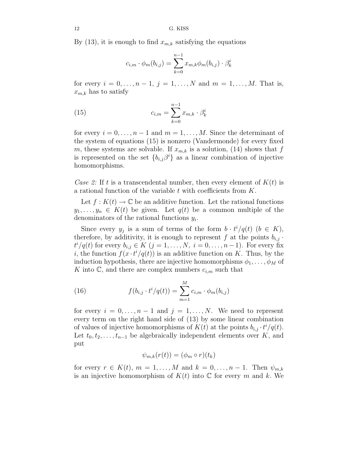By (13), it is enough to find  $x_{m,k}$  satisfying the equations

$$
c_{i,m} \cdot \phi_m(b_{i,j}) = \sum_{k=0}^{n-1} x_{m,k} \phi_m(b_{i,j}) \cdot \beta_k^i
$$

for every  $i = 0, ..., n - 1, j = 1, ..., N$  and  $m = 1, ..., M$ . That is,  $x_{m,k}$  has to satisfy

(15) 
$$
c_{i,m} = \sum_{k=0}^{n-1} x_{m,k} \cdot \beta_k^i
$$

for every  $i = 0, \ldots, n-1$  and  $m = 1, \ldots, M$ . Since the determinant of the system of equations (15) is nonzero (Vandermonde) for every fixed m, these systems are solvable. If  $x_{m,k}$  is a solution, (14) shows that f is represented on the set  ${b_{i,j}}\beta^{i}$  as a linear combination of injective homomorphisms.

*Case 2:* If t is a transcendental number, then every element of  $K(t)$  is a rational function of the variable t with coefficients from K.

Let  $f: K(t) \to \mathbb{C}$  be an additive function. Let the rational functions  $y_1, \ldots, y_n \in K(t)$  be given. Let  $q(t)$  be a common multiple of the denominators of the rational functions  $y_i$ .

Since every  $y_j$  is a sum of terms of the form  $b \cdot t^i/q(t)$   $(b \in K)$ , therefore, by additivity, it is enough to represent f at the points  $b_{i,j}$ .  $t^{i}/q(t)$  for every  $b_{i,j} \in K$   $(j = 1, \ldots, N, i = 0, \ldots, n-1)$ . For every fix i, the function  $f(x \cdot t^i/q(t))$  is an additive function on K. Thus, by the induction hypothesis, there are injective homomorphisms  $\phi_1, \ldots, \phi_M$  of K into  $\mathbb{C}$ , and there are complex numbers  $c_{i,m}$  such that

(16) 
$$
f(b_{i,j} \cdot t^i/q(t)) = \sum_{m=1}^M c_{i,m} \cdot \phi_m(b_{i,j})
$$

for every  $i = 0, \ldots, n-1$  and  $j = 1, \ldots, N$ . We need to represent every term on the right hand side of (13) by some linear combination of values of injective homomorphisms of  $K(t)$  at the points  $b_{i,j} \cdot t^i/q(t)$ . Let  $t_0, t_2, \ldots, t_{n-1}$  be algebraically independent elements over K, and put

$$
\psi_{m,k}(r(t)) = (\phi_m \circ r)(t_k)
$$

for every  $r \in K(t)$ ,  $m = 1, \ldots, M$  and  $k = 0, \ldots, n-1$ . Then  $\psi_{m,k}$ is an injective homomorphism of  $K(t)$  into  $\mathbb C$  for every m and k. We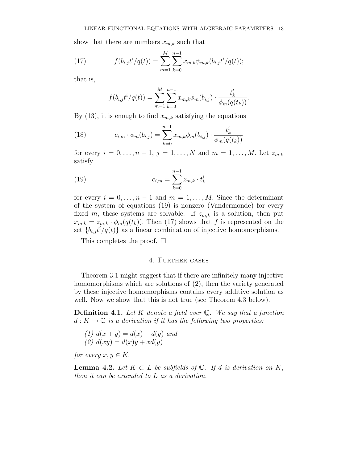show that there are numbers  $x_{m,k}$  such that

(17) 
$$
f(b_{i,j}t^{i}/q(t)) = \sum_{m=1}^{M} \sum_{k=0}^{n-1} x_{m,k} \psi_{m,k}(b_{i,j}t^{i}/q(t));
$$

that is,

$$
f(b_{i,j}t^{i}/q(t)) = \sum_{m=1}^{M} \sum_{k=0}^{n-1} x_{m,k} \phi_m(b_{i,j}) \cdot \frac{t_k^{i}}{\phi_m(q(t_k))}.
$$

By (13), it is enough to find  $x_{m,k}$  satisfying the equations

(18) 
$$
c_{i,m} \cdot \phi_m(b_{i,j}) = \sum_{k=0}^{n-1} x_{m,k} \phi_m(b_{i,j}) \cdot \frac{t_k^i}{\phi_m(q(t_k))}
$$

for every  $i = 0, ..., n - 1, j = 1, ..., N$  and  $m = 1, ..., M$ . Let  $z_{m,k}$ satisfy

(19) 
$$
c_{i,m} = \sum_{k=0}^{n-1} z_{m,k} \cdot t_k^i
$$

for every  $i = 0, \ldots, n-1$  and  $m = 1, \ldots, M$ . Since the determinant of the system of equations (19) is nonzero (Vandermonde) for every fixed m, these systems are solvable. If  $z_{m,k}$  is a solution, then put  $x_{m,k} = z_{m,k} \cdot \phi_m(q(t_k))$ . Then (17) shows that f is represented on the set  ${b_{i,j}t^{i}/q(t)}$  as a linear combination of injective homomorphisms.

This completes the proof.  $\square$ 

### 4. Further cases

Theorem 3.1 might suggest that if there are infinitely many injective homomorphisms which are solutions of (2), then the variety generated by these injective homomorphisms contains every additive solution as well. Now we show that this is not true (see Theorem 4.3 below).

Definition 4.1. *Let* K *denote a field over* Q*. We say that a function*  $d: K \to \mathbb{C}$  *is a derivation if it has the following two properties:* 

(1) 
$$
d(x + y) = d(x) + d(y)
$$
 and  
(2) 
$$
d(xy) = d(x)y + xd(y)
$$

*for every*  $x, y \in K$ .

**Lemma 4.2.** *Let*  $K ⊂ L$  *be subfields of*  $\mathbb{C}$ *. If d is derivation on*  $K$ *, then it can be extended to* L *as a derivation.*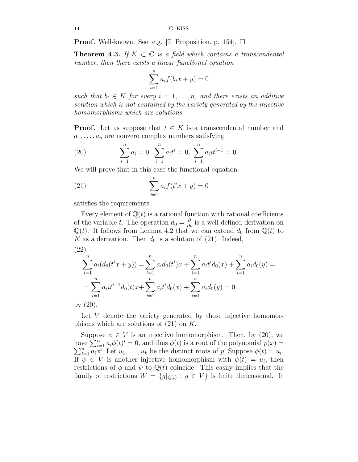**Proof.** Well-known. See, e.g. [7, Proposition, p. 154].  $\Box$ 

**Theorem 4.3.** If  $K \subset \mathbb{C}$  *is a field which contains a transcendental number, then there exists a linear functional equation*

$$
\sum_{i=1}^{n} a_i f(b_i x + y) = 0
$$

*such that*  $b_i \in K$  *for every*  $i = 1, \ldots, n$ *, and there exists an additive solution which is not contained by the variety generated by the injective homomorphisms which are solutions.*

**Proof.** Let us suppose that  $t \in K$  is a transcendental number and  $a_1, \ldots, a_n$  are nonzero complex numbers satisfying

(20) 
$$
\sum_{i=1}^{n} a_i = 0, \ \sum_{i=1}^{n} a_i t^i = 0, \ \sum_{i=1}^{n} a_i t^{i-1} = 0.
$$

We will prove that in this case the functional equation

(21) 
$$
\sum_{i=1}^{n} a_i f(t^i x + y) = 0
$$

satisfies the requirements.

Every element of  $\mathbb{Q}(t)$  is a rational function with rational coefficients of the variable t. The operation  $d_0 = \frac{\partial}{\partial t}$  is a well-defined derivation on  $\mathbb{Q}(t)$ . It follows from Lemma 4.2 that we can extend  $d_0$  from  $\mathbb{Q}(t)$  to K as a derivation. Then  $d_0$  is a solution of (21). Indeed,  $(22)$ 

$$
(22)
$$

$$
\sum_{i=1}^{n} a_i (d_0(t^i x + y)) = \sum_{i=1}^{n} a_i d_0(t^i) x + \sum_{i=1}^{n} a_i t^i d_0(x) + \sum_{i=1}^{n} a_i d_0(y) =
$$
  
= 
$$
\sum_{i=1}^{n} a_i t^{i-1} d_0(t) x + \sum_{i=1}^{n} a_i t^i d_0(x) + \sum_{i=1}^{n} a_i d_0(y) = 0
$$
  
or (20)

by (20).

Let V denote the variety generated by those injective homomorphisms which are solutions of  $(21)$  on K.

Suppose  $\phi \in V$  is an injective homomorphism. Then, by (20), we have  $\sum_{i=1}^{n} a_i \phi(t)^i = 0$ , and thus  $\phi(t)$  is a root of the polynomial  $p(x) =$  $\sum_{i=1}^{n} a_i x^i$ . Let  $u_1, \ldots, u_k$  be the distinct roots of p. Suppose  $\phi(t) = u_i$ . If  $\psi \in V$  is another injective homomorphism with  $\psi(t) = u_i$ , then restrictions of  $\phi$  and  $\psi$  to  $\mathbb{Q}(t)$  coincide. This easily implies that the family of restrictions  $W = \{g|_{\mathbb{Q}(t)} : g \in V\}$  is finite dimensional. It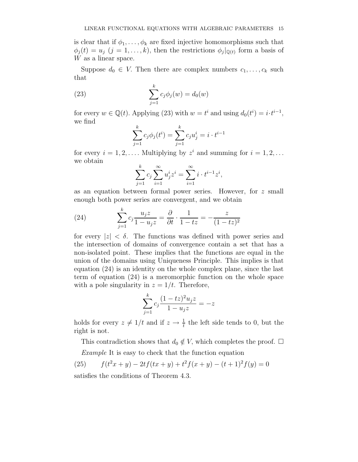is clear that if  $\phi_1, \ldots, \phi_k$  are fixed injective homomorphisms such that  $\phi_j(t) = u_j$   $(j = 1, ..., k)$ , then the restrictions  $\phi_j|_{\mathbb{Q}(t)}$  form a basis of W as a linear space.

Suppose  $d_0 \in V$ . Then there are complex numbers  $c_1, \ldots, c_k$  such that

(23) 
$$
\sum_{j=1}^{k} c_j \phi_j(w) = d_0(w)
$$

for every  $w \in \mathbb{Q}(t)$ . Applying (23) with  $w = t^i$  and using  $d_0(t^i) = i \cdot t^{i-1}$ , we find

$$
\sum_{j=1}^{k} c_j \phi_j(t^i) = \sum_{j=1}^{k} c_j u_j^i = i \cdot t^{i-1}
$$

for every  $i = 1, 2, \ldots$ . Multiplying by  $z^i$  and summing for  $i = 1, 2, \ldots$ we obtain

$$
\sum_{j=1}^{k} c_j \sum_{i=1}^{\infty} u_j^i z^i = \sum_{i=1}^{\infty} i \cdot t^{i-1} z^i,
$$

as an equation between formal power series. However, for z small enough both power series are convergent, and we obtain

(24) 
$$
\sum_{j=1}^{k} c_j \frac{u_j z}{1 - u_j z} = \frac{\partial}{\partial t} \cdot \frac{1}{1 - tz} = -\frac{z}{(1 - tz)^2}
$$

for every  $|z| < \delta$ . The functions was defined with power series and the intersection of domains of convergence contain a set that has a non-isolated point. These implies that the functions are equal in the union of the domains using Uniqueness Principle. This implies is that equation (24) is an identity on the whole complex plane, since the last term of equation (24) is a meromorphic function on the whole space with a pole singularity in  $z = 1/t$ . Therefore,

$$
\sum_{j=1}^{k} c_j \frac{(1-tz)^2 u_j z}{1 - u_j z} = -z
$$

holds for every  $z \neq 1/t$  and if  $z \to \frac{1}{t}$  the left side tends to 0, but the right is not.

This contradiction shows that  $d_0 \notin V$ , which completes the proof.  $\Box$ 

*Example* It is easy to check that the function equation

 $(25)$  $(x^2 + y) - 2tf(tx + y) + t^2f(x + y) - (t + 1)^2f(y) = 0$ satisfies the conditions of Theorem 4.3.